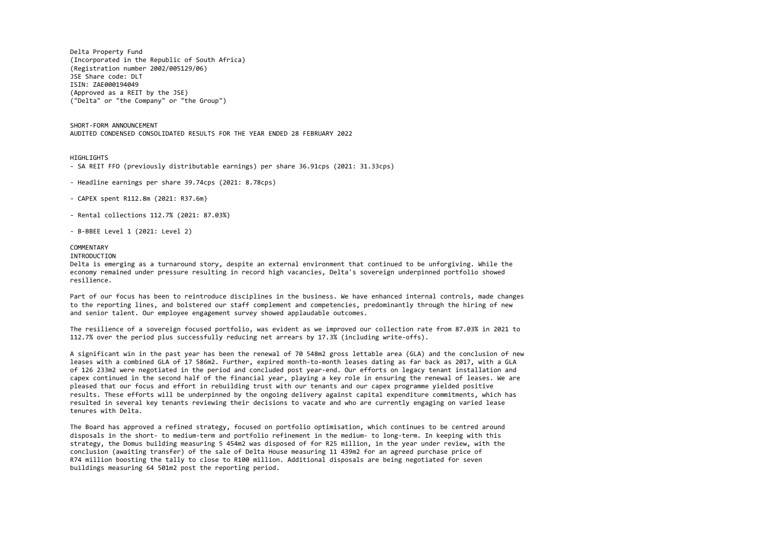Delta Property Fund (Incorporated in the Republic of South Africa) (Registration number 2002/005129/06) JSE Share code: DLT ISIN: ZAE000194049 (Approved as a REIT by the JSE) ("Delta" or "the Company" or "the Group")

SHORT-FORM ANNOUNCEMENT AUDITED CONDENSED CONSOLIDATED RESULTS FOR THE YEAR ENDED 28 FEBRUARY 2022

HIGHLIGHTS

- SA REIT FFO (previously distributable earnings) per share 36.91cps (2021: 31.33cps)
- Headline earnings per share 39.74cps (2021: 8.78cps)
- CAPEX spent R112.8m (2021: R37.6m)
- Rental collections 112.7% (2021: 87.03%)
- B-BBEE Level 1 (2021: Level 2)

## COMMENTARY

## INTRODUCTION

Delta is emerging as a turnaround story, despite an external environment that continued to be unforgiving. While the economy remained under pressure resulting in record high vacancies, Delta's sovereign underpinned portfolio showed resilience.

Part of our focus has been to reintroduce disciplines in the business. We have enhanced internal controls, made changes to the reporting lines, and bolstered our staff complement and competencies, predominantly through the hiring of new and senior talent. Our employee engagement survey showed applaudable outcomes.

The resilience of a sovereign focused portfolio, was evident as we improved our collection rate from 87.03% in 2021 to 112.7% over the period plus successfully reducing net arrears by 17.3% (including write-offs).

A significant win in the past year has been the renewal of 70 548m2 gross lettable area (GLA) and the conclusion of new leases with a combined GLA of 17 586m2. Further, expired month-to-month leases dating as far back as 2017, with a GLA of 126 233m2 were negotiated in the period and concluded post year-end. Our efforts on legacy tenant installation and capex continued in the second half of the financial year, playing a key role in ensuring the renewal of leases. We are pleased that our focus and effort in rebuilding trust with our tenants and our capex programme yielded positive results. These efforts will be underpinned by the ongoing delivery against capital expenditure commitments, which has resulted in several key tenants reviewing their decisions to vacate and who are currently engaging on varied lease tenures with Delta.

The Board has approved a refined strategy, focused on portfolio optimisation, which continues to be centred around disposals in the short- to medium-term and portfolio refinement in the medium- to long-term. In keeping with this strategy, the Domus building measuring 5 454m2 was disposed of for R25 million, in the year under review, with the conclusion (awaiting transfer) of the sale of Delta House measuring 11 439m2 for an agreed purchase price of R74 million boosting the tally to close to R100 million. Additional disposals are being negotiated for seven buildings measuring 64 501m2 post the reporting period.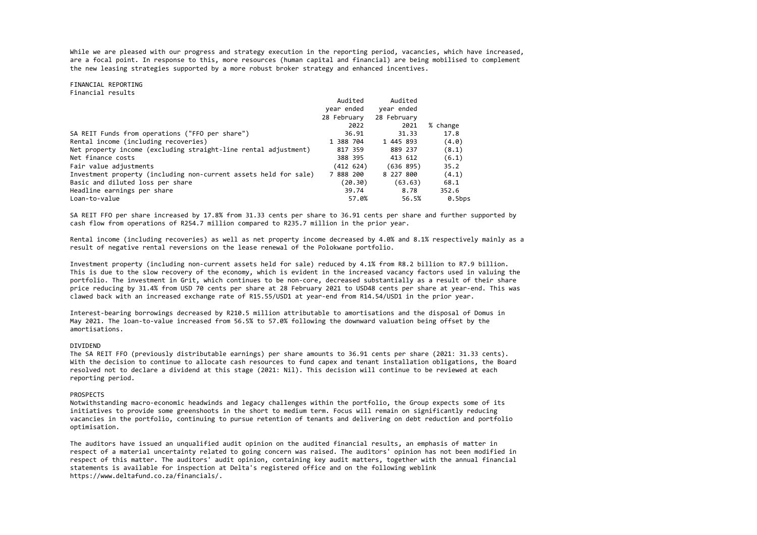While we are pleased with our progress and strategy execution in the reporting period, vacancies, which have increased, are a focal point. In response to this, more resources (human capital and financial) are being mobilised to complement the new leasing strategies supported by a more robust broker strategy and enhanced incentives.

FINANCIAL REPORTING Financial results

|                                                                  | Audited     | Audited     |           |
|------------------------------------------------------------------|-------------|-------------|-----------|
|                                                                  | year ended  | year ended  |           |
|                                                                  | 28 February | 28 February |           |
|                                                                  | 2022        | 2021        | % change  |
| SA REIT Funds from operations ("FFO per share")                  | 36.91       | 31.33       | 17.8      |
| Rental income (including recoveries)                             | 1 388 704   | 1 445 893   | (4.0)     |
| Net property income (excluding straight-line rental adjustment)  | 817 359     | 889 237     | (8.1)     |
| Net finance costs                                                | 388 395     | 413 612     | (6.1)     |
| Fair value adjustments                                           | (412 624)   | (636 895)   | 35.2      |
| Investment property (including non-current assets held for sale) | 7 888 200   | 8 227 800   | (4.1)     |
| Basic and diluted loss per share                                 | (20.30)     | (63.63)     | 68.1      |
| Headline earnings per share                                      | 39.74       | 8.78        | 352.6     |
| Loan-to-value                                                    | 57.0%       | 56.5%       | $0.5$ bps |

SA REIT FFO per share increased by 17.8% from 31.33 cents per share to 36.91 cents per share and further supported by cash flow from operations of R254.7 million compared to R235.7 million in the prior year.

Rental income (including recoveries) as well as net property income decreased by 4.0% and 8.1% respectively mainly as a result of negative rental reversions on the lease renewal of the Polokwane portfolio.

Investment property (including non-current assets held for sale) reduced by 4.1% from R8.2 billion to R7.9 billion. This is due to the slow recovery of the economy, which is evident in the increased vacancy factors used in valuing the portfolio. The investment in Grit, which continues to be non-core, decreased substantially as a result of their share price reducing by 31.4% from USD 70 cents per share at 28 February 2021 to USD48 cents per share at year-end. This was clawed back with an increased exchange rate of R15.55/USD1 at year-end from R14.54/USD1 in the prior year.

Interest-bearing borrowings decreased by R210.5 million attributable to amortisations and the disposal of Domus in May 2021. The loan-to-value increased from 56.5% to 57.0% following the downward valuation being offset by the amortisations.

## DIVIDEND

The SA REIT FFO (previously distributable earnings) per share amounts to 36.91 cents per share (2021: 31.33 cents). With the decision to continue to allocate cash resources to fund capex and tenant installation obligations, the Board resolved not to declare a dividend at this stage (2021: Nil). This decision will continue to be reviewed at each reporting period.

## PROSPECTS

Notwithstanding macro-economic headwinds and legacy challenges within the portfolio, the Group expects some of its initiatives to provide some greenshoots in the short to medium term. Focus will remain on significantly reducing vacancies in the portfolio, continuing to pursue retention of tenants and delivering on debt reduction and portfolio optimisation.

The auditors have issued an unqualified audit opinion on the audited financial results, an emphasis of matter in respect of a material uncertainty related to going concern was raised. The auditors' opinion has not been modified in respect of this matter. The auditors' audit opinion, containing key audit matters, together with the annual financial statements is available for inspection at Delta's registered office and on the following weblink https://www.deltafund.co.za/financials/.